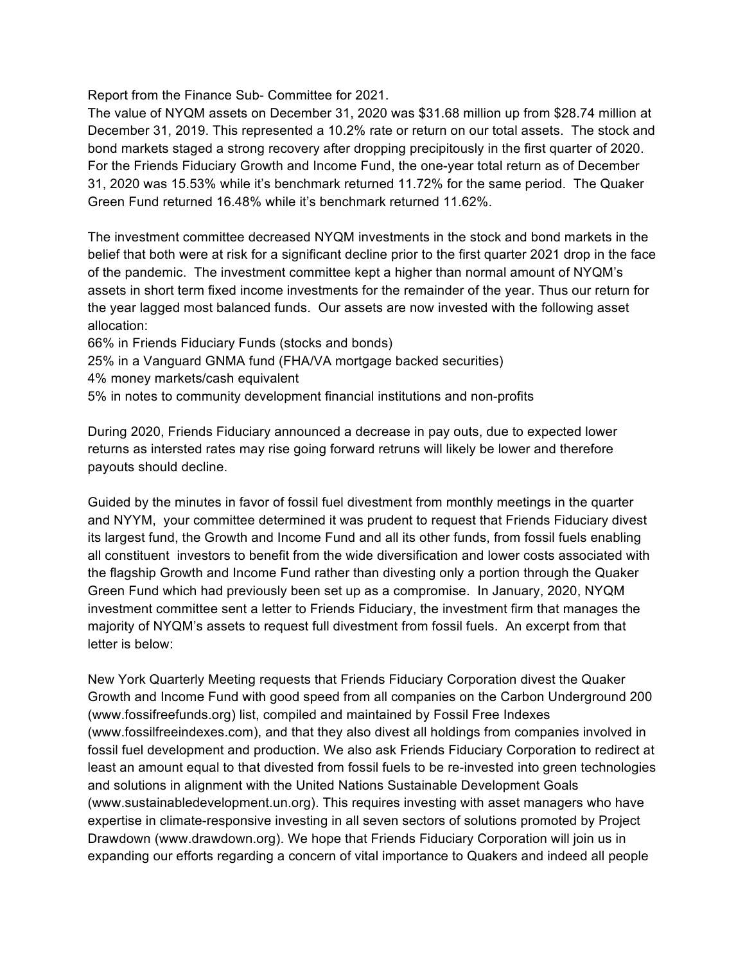Report from the Finance Sub- Committee for 2021.

The value of NYQM assets on December 31, 2020 was \$31.68 million up from \$28.74 million at December 31, 2019. This represented a 10.2% rate or return on our total assets. The stock and bond markets staged a strong recovery after dropping precipitously in the first quarter of 2020. For the Friends Fiduciary Growth and Income Fund, the one-year total return as of December 31, 2020 was 15.53% while it's benchmark returned 11.72% for the same period. The Quaker Green Fund returned 16.48% while it's benchmark returned 11.62%.

The investment committee decreased NYQM investments in the stock and bond markets in the belief that both were at risk for a significant decline prior to the first quarter 2021 drop in the face of the pandemic. The investment committee kept a higher than normal amount of NYQM's assets in short term fixed income investments for the remainder of the year. Thus our return for the year lagged most balanced funds. Our assets are now invested with the following asset allocation:

66% in Friends Fiduciary Funds (stocks and bonds)

25% in a Vanguard GNMA fund (FHA/VA mortgage backed securities)

4% money markets/cash equivalent

5% in notes to community development financial institutions and non-profits

During 2020, Friends Fiduciary announced a decrease in pay outs, due to expected lower returns as intersted rates may rise going forward retruns will likely be lower and therefore payouts should decline.

Guided by the minutes in favor of fossil fuel divestment from monthly meetings in the quarter and NYYM, your committee determined it was prudent to request that Friends Fiduciary divest its largest fund, the Growth and Income Fund and all its other funds, from fossil fuels enabling all constituent investors to benefit from the wide diversification and lower costs associated with the flagship Growth and Income Fund rather than divesting only a portion through the Quaker Green Fund which had previously been set up as a compromise. In January, 2020, NYQM investment committee sent a letter to Friends Fiduciary, the investment firm that manages the majority of NYQM's assets to request full divestment from fossil fuels. An excerpt from that letter is below:

New York Quarterly Meeting requests that Friends Fiduciary Corporation divest the Quaker Growth and Income Fund with good speed from all companies on the Carbon Underground 200 (www.fossifreefunds.org) list, compiled and maintained by Fossil Free Indexes (www.fossilfreeindexes.com), and that they also divest all holdings from companies involved in fossil fuel development and production. We also ask Friends Fiduciary Corporation to redirect at least an amount equal to that divested from fossil fuels to be re-invested into green technologies and solutions in alignment with the United Nations Sustainable Development Goals (www.sustainabledevelopment.un.org). This requires investing with asset managers who have expertise in climate-responsive investing in all seven sectors of solutions promoted by Project Drawdown (www.drawdown.org). We hope that Friends Fiduciary Corporation will join us in expanding our efforts regarding a concern of vital importance to Quakers and indeed all people